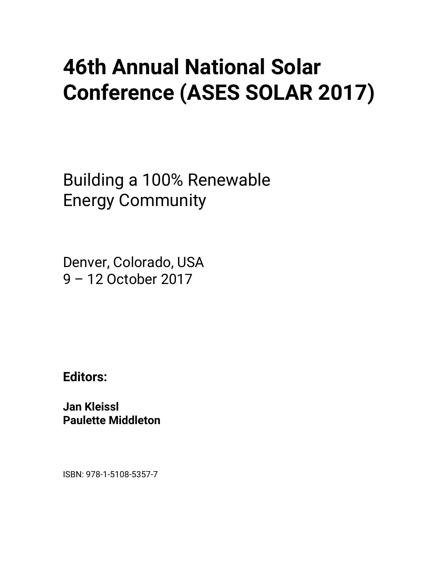# **46th Annual National Solar Conference (ASES SOLAR 2017)**

Building a 100% Renewable Energy Community

Denver, Colorado, USA 9 – 12 October 2017

**Editors:** 

**Jan Kleissl Paulette Middleton** 

ISBN: 978-1-5108-5357-7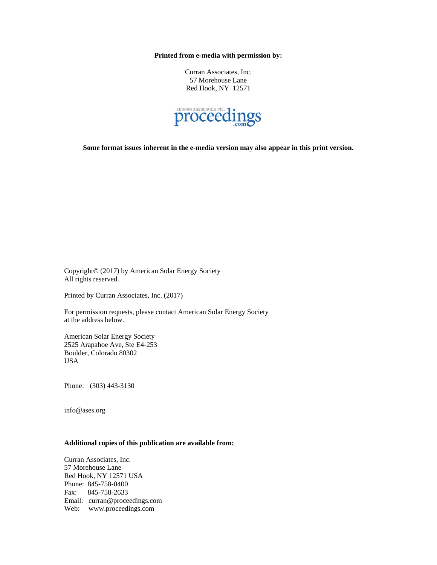**Printed from e-media with permission by:** 

Curran Associates, Inc. 57 Morehouse Lane Red Hook, NY 12571



**Some format issues inherent in the e-media version may also appear in this print version.** 

Copyright© (2017) by American Solar Energy Society All rights reserved.

Printed by Curran Associates, Inc. (2017)

For permission requests, please contact American Solar Energy Society at the address below.

American Solar Energy Society 2525 Arapahoe Ave, Ste E4-253 Boulder, Colorado 80302 USA

Phone: (303) 443-3130

info@ases.org

#### **Additional copies of this publication are available from:**

Curran Associates, Inc. 57 Morehouse Lane Red Hook, NY 12571 USA Phone: 845-758-0400 Fax: 845-758-2633 Email: curran@proceedings.com Web: www.proceedings.com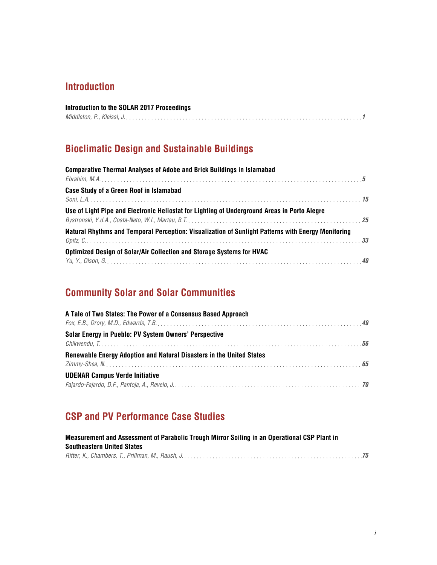#### **Introduction**

| Introduction to the SOLAR 2017 Proceedings |  |
|--------------------------------------------|--|
|                                            |  |

## **Bioclimatic Design and Sustainable Buildings**

| <b>Comparative Thermal Analyses of Adobe and Brick Buildings in Islamabad</b>                                   |  |
|-----------------------------------------------------------------------------------------------------------------|--|
|                                                                                                                 |  |
| Case Study of a Green Roof in Islamabad                                                                         |  |
|                                                                                                                 |  |
| Use of Light Pipe and Electronic Heliostat for Lighting of Underground Areas in Porto Alegre                    |  |
| Bystronski, Y.d.A., Costa-Neto, W.I., Martau, B.T. Martau, B.T. And Martin Martin Martin Martin Martin Martin 1 |  |
| Natural Rhythms and Temporal Perception: Visualization of Sunlight Patterns with Energy Monitoring              |  |
|                                                                                                                 |  |
| Optimized Design of Solar/Air Collection and Storage Systems for HVAC                                           |  |
|                                                                                                                 |  |

## **Community Solar and Solar Communities**

| A Tale of Two States: The Power of a Consensus Based Approach        |  |
|----------------------------------------------------------------------|--|
|                                                                      |  |
| Solar Energy in Pueblo: PV System Owners' Perspective                |  |
|                                                                      |  |
| Renewable Energy Adoption and Natural Disasters in the United States |  |
|                                                                      |  |
| <b>UDENAR Campus Verde Initiative</b>                                |  |
|                                                                      |  |

#### **CSP and PV Performance Case Studies**

| Measurement and Assessment of Parabolic Trough Mirror Soiling in an Operational CSP Plant in |  |
|----------------------------------------------------------------------------------------------|--|
| <b>Southeastern United States</b>                                                            |  |
|                                                                                              |  |